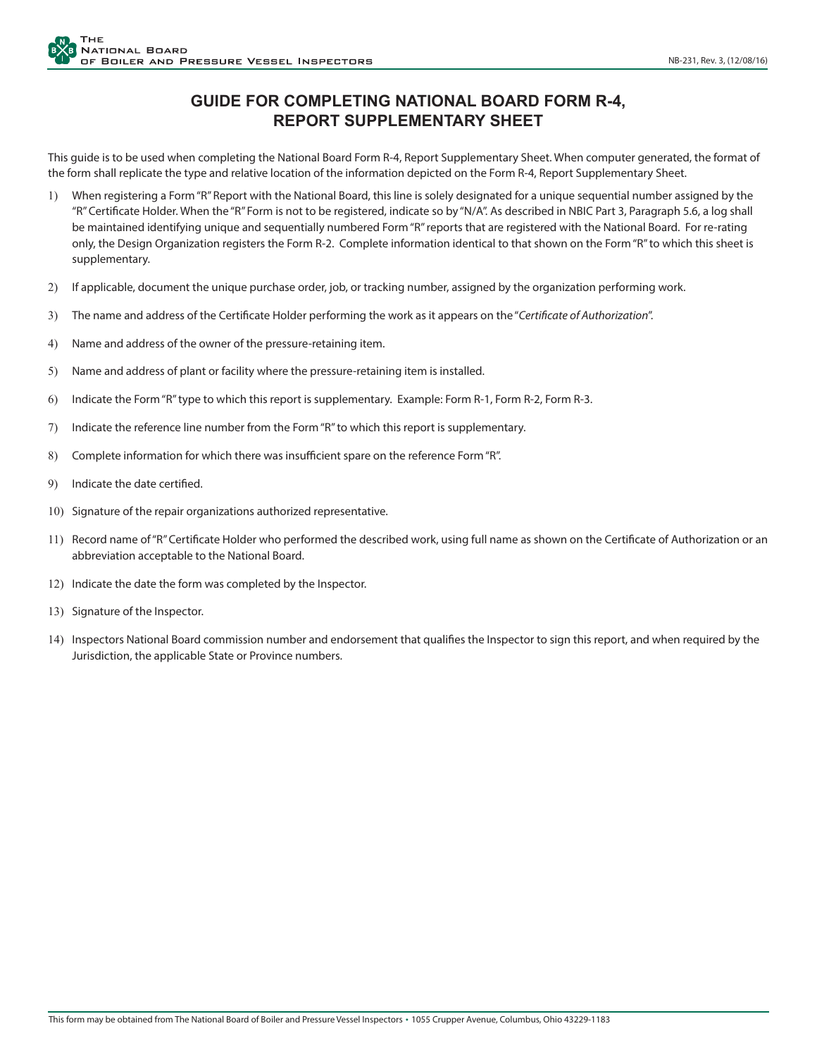## **GUIDE FOR COMPLETING NATIONAL BOARD FORM R-4, REPORT SUPPLEMENTARY SHEET**

This guide is to be used when completing the National Board Form R-4, Report Supplementary Sheet. When computer generated, the format of the form shall replicate the type and relative location of the information depicted on the Form R-4, Report Supplementary Sheet.

- 1) When registering a Form "R" Report with the National Board, this line is solely designated for a unique sequential number assigned by the "R" Certificate Holder. When the "R" Form is not to be registered, indicate so by "N/A". As described in NBIC Part 3, Paragraph 5.6, a log shall be maintained identifying unique and sequentially numbered Form "R" reports that are registered with the National Board. For re-rating only, the Design Organization registers the Form R-2. Complete information identical to that shown on the Form "R" to which this sheet is supplementary.
- 2) If applicable, document the unique purchase order, job, or tracking number, assigned by the organization performing work.
- 3) The name and address of the Certificate Holder performing the work as it appears on the "*Certificate of Authorization*".
- 4) Name and address of the owner of the pressure-retaining item.
- 5) Name and address of plant or facility where the pressure-retaining item is installed.
- 6) Indicate the Form "R" type to which this report is supplementary. Example: Form R-1, Form R-2, Form R-3.
- 7) Indicate the reference line number from the Form "R" to which this report is supplementary.
- 8) Complete information for which there was insufficient spare on the reference Form "R".
- 9) Indicate the date certified.
- 10) Signature of the repair organizations authorized representative.
- 11) Record name of "R" Certificate Holder who performed the described work, using full name as shown on the Certificate of Authorization or an abbreviation acceptable to the National Board.
- 12) Indicate the date the form was completed by the Inspector.
- 13) Signature of the Inspector.
- 14) Inspectors National Board commission number and endorsement that qualifies the Inspector to sign this report, and when required by the Jurisdiction, the applicable State or Province numbers.